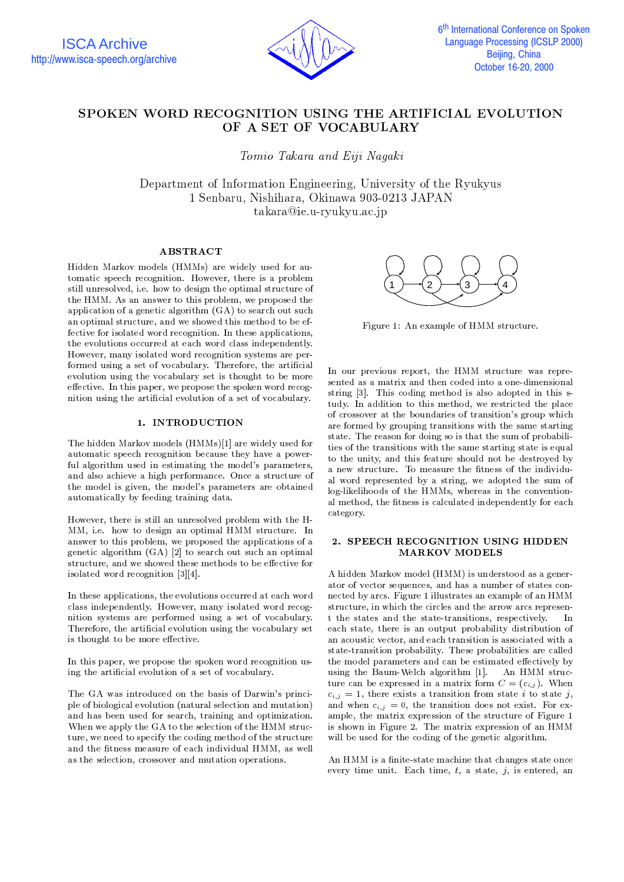

# SPOKEN WORD RECOGNITION USING THE ARTIFICIAL EVOLUTION OF A SET OF VOCABULARY

To severe Takara and Eiji Nagara and Eiji Nagara and Eiji Nagara and Eiji Nagara and Eiji Nagara and Eiji Nagara and Eiji Nagara and Eiji Nagara and Eiji Nagara and Eiji Nagara and Eiji Nagara and Eiji Nagara and Eiji Naga

Department of Information Engineering, University of the Ryukyus 1 Senbaru, Nishihara, Okinawa 903-0213 JAPAN takara@ie.u-ryukyu.ac.jp

# ABSTRACT

Hidden Markov models (HMMs) are widely used for au tomatic speech recognition. However, there is a problem still unresolved, i.e. how to design the optimal structure of the HMM. As an answer to this problem, we proposed the application of a genetic algorithm (GA) to search out such an optimal structure, and we showed this method to be effective for isolated word recognition. In these applications, the evolutions occurred at each word class independently. However, many isolated word recognition systems are performed using a set of vocabulary. Therefore, the artificial evolution using the vocabulary set is thought to be more effective. In this paper, we propose the spoken word recognition using the articial evolution of a set of vocabulary.

# 1. INTRODUCTION

The hidden Markov models (HMMs)[1] are widely used for automatic speech recognition because they have a powerful algorithm used in estimating the model's parameters, and also achieve a high performance. Once a structure of the model is given, the model's parameters are obtained automatically by feeding training data.

However, there is still an unresolved problem with the H-MM, i.e. how to design an optimal HMM structure. In answer to this problem, we proposed the applications of a genetic algorithm (GA) [2] to search out such an optimal structure, and we showed these methods to be effective for isolated word recognition [3][4].

In these applications, the evolutions occurred at each word class independently. However, many isolated word recognition systems are performed using a set of vocabulary. Therefore, the artificial evolution using the vocabulary set is thought to be more effective.

In this paper, we propose the spoken word recognition using the articial evolution of a set of vocabulary.

The GA was introduced on the basis of Darwin's principle of biological evolution (natural selection and mutation) and has been used for search, training and optimization. When we apply the GA to the selection of the HMM structure, we need to specify the coding method of the structure and the fitness measure of each individual HMM, as well as the selection, crossover and mutation operations.



Figure 1: An example of HMM structure.

In our previous report, the HMM structure was repre sented as a matrix and then coded into a one-dimensional string [3]. This coding method is also adopted in this study. In addition to this method, we restricted the place of crossover at the boundaries of transition's group which are formed by grouping transitions with the same starting state. The reason for doing so is that the sum of probabilities of the transitions with the same starting state is equal to the unity, and this feature should not be destroyed by a new structure. To measure the fitness of the individual word represented by a string, we adopted the sum of log-likelihoods of the HMMs, whereas in the conventional method, the fitness is calculated independently for each category.

# 2. SPEECH RECOGNITION USING HIDDEN MARKOV MODELS

A hidden Markov model (HMM) is understood as a generator of vector sequences, and has a number of states connected by arcs. Figure 1 illustrates an example of an HMM structure, in which the circles and the arrow arcs represent the states and the state-transitions, respectively. - In each state, there is an output probability distribution of an acoustic vector, and each transition is associated with a state-transition probability. These probabilities are called the model parameters and can be estimated effectively by using the Baum-Welch algorithm [1]. An HMM structure can be expressed in a matrix form  $C = (c_{i,j})$ . When  $c_{i,j} = 1$ , there exists a transition from state *i* to state *j*, and when  $c_{i,j} = 0$ , the transition does not exist. For example, the matrix expression of the structure of Figure 1 is shown in Figure 2. The matrix expression of an HMM will be used for the coding of the genetic algorithm.

An HMM is a finite-state machine that changes state once every time unit. Each time,  $t$ , a state,  $j$ , is entered, an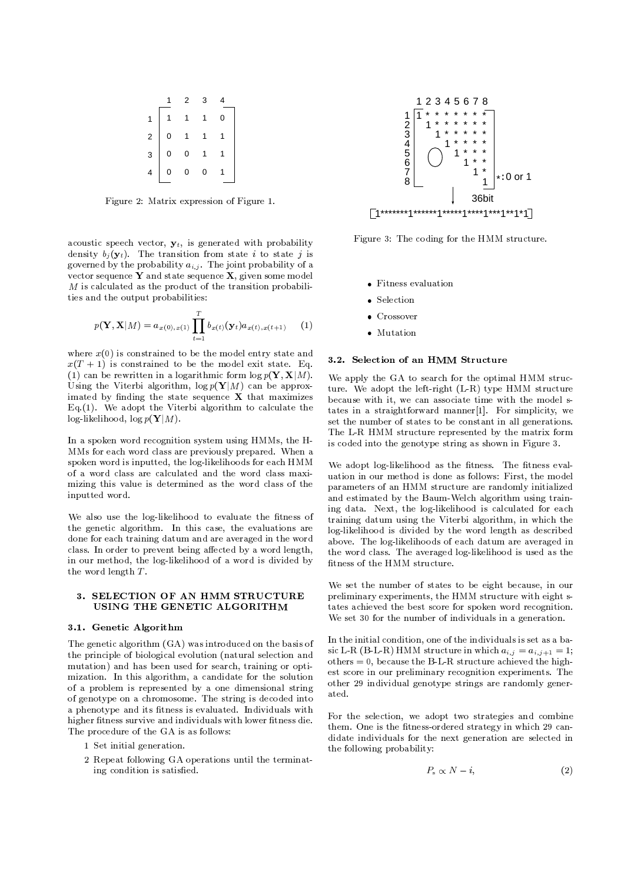|                         |   | 2 | 3 |  |
|-------------------------|---|---|---|--|
| 1                       |   |   | 1 |  |
| $\overline{\mathbf{c}}$ | 0 |   |   |  |
| 3                       | 0 | 0 |   |  |
|                         | 0 | 0 | 0 |  |

Figure 2: Matrix expression of Figure 1.

acoustic speech vector,  $y_t$ , is generated with probability density  $b_j(\mathbf{y}_t)$ . The transition from state *i* to state *j* is governed by the probability  $a_{i,j}$ . The joint probability of a vector sequence  $Y$  and state sequence  $X$ , given some model  $M$  is calculated as the product of the transition probabilities and the output probabilities:

$$
p(\mathbf{Y}, \mathbf{X}|M) = a_{x(0), x(1)} \prod_{t=1}^{T} b_{x(t)}(\mathbf{y}_t) a_{x(t), x(t+1)} \qquad (1)
$$

where  $x(0)$  is constrained to be the model entry state and  $x(T + 1)$  is constrained to be the model exit state. Eq. (1) can be rewritten in a logarithmic form  $\log p(\mathbf{Y}, \mathbf{X}|M)$ . Using the Viterbi algorithm,  $\log p(Y|M)$  can be approximated by finding the state sequence  $X$  that maximizes Eq.(1). We adopt the Viterbi algorithm to calculate the  $log$ -likelihood,  $log p(Y|M)$ .

In a spoken word recognition system using HMMs, the H-MMs for each word class are previously prepared. When a spoken word is inputted, the log-likelihoods for each HMM of a word class are calculated and the word class maximizing this value is determined as the word class of the inputted word.

We also use the log-likelihood to evaluate the fitness of the genetic algorithm. In this case, the evaluations are done for each training datum and are averaged in the word class. In order to prevent being affected by a word length, in our method, the log-likelihood of a word is divided by the word length <sup>T</sup> .

## 3. SELECTION OF AN HMM STRUCTURE USING THE GENETIC ALGORITHM

#### 3.1. Genetic Algorithm

The genetic algorithm (GA) was introduced on the basis of the principle of biological evolution (natural selection and mutation) and has been used for search, training or optimization. In this algorithm, a candidate for the solution of a problem is represented by a one dimensional string of genotype on a chromosome. The string is decoded into a phenotype and its fitness is evaluated. Individuals with higher fitness survive and individuals with lower fitness die. The procedure of the GA is as follows:

- 1 Set initial generation.
- 2 Repeat following GA operations until the terminating condition is satisfied.



Figure 3: The coding for the HMM structure.

- Fitness evaluation
- Selection
- **c** Crossover
- $\bullet$  Mutation

# 3.2. Selection of an HMM Structure

We apply the GA to search for the optimal HMM structure. We adopt the left-right (L-R) type HMM structure because with it, we can associate time with the model states in a straightforward manner[1]. For simplicity, we set the number of states to be constant in all generations. The L-R HMM structure represented by the matrix form is coded into the genotype string as shown in Figure 3.

We adopt log-likelihood as the fitness. The fitness evaluation in our method is done as follows: First, the model parameters of an HMM structure are randomly initialized and estimated by the Baum-Welch algorithm using training data. Next, the log-likelihood is calculated for each training datum using the Viterbi algorithm, in which the log-likelihood is divided by the word length as described above. The log-likelihoods of each datum are averaged in the word class. The averaged log-likelihood is used as the fitness of the HMM structure.

We set the number of states to be eight because, in our preliminary experiments, the HMM structure with eight states achieved the best score for spoken word recognition. We set 30 for the number of individuals in a generation.

In the initial condition, one of the individuals is set as a basic L-R (B-L-R) HMM structure in which  $a_{i,j} = a_{i,j+1} = 1$ ; others  $= 0$ , because the B-L-R structure achieved the highest score in our preliminary recognition experiments. The other 29 individual genotype strings are randomly gener-

For the selection, we adopt two strategies and combine them. One is the fitness-ordered strategy in which 29 candidate individuals for the next generation are selected in the following probability:

$$
P_s \propto N - i,\tag{2}
$$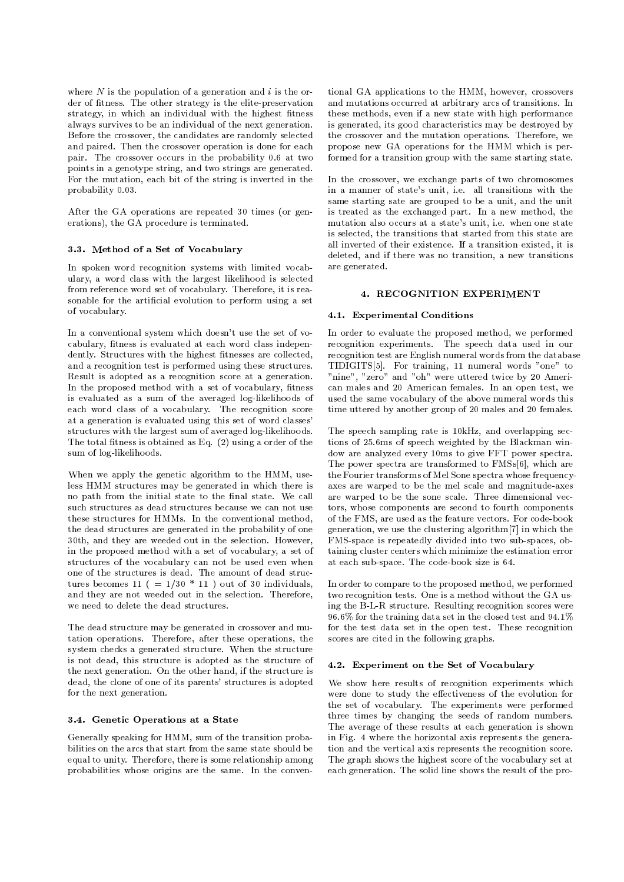where  $N$  is the population of a generation and i is the order of fitness. The other strategy is the elite-preservation strategy, in which an individual with the highest fitness always survives to be an individual of the next generation. Before the crossover, the candidates are randomly selected and paired. Then the crossover operation is done for each pair. The crossover occurs in the probability 0.6 at two points in a genotype string, and two strings are generated. For the mutation, each bit of the string is inverted in the probability 0.03.

After the GA operations are repeated 30 times (or generations), the GA procedure is terminated.

# 3.3. Method of a Set of Vocabulary

In spoken word recognition systems with limited vocabulary, a word class with the largest likelihood is selected from reference word set of vocabulary. Therefore, it is reasonable for the artificial evolution to perform using a set of vocabulary.

In a conventional system which doesn't use the set of vo cabulary, fitness is evaluated at each word class independently. Structures with the highest fitnesses are collected, and a recognition test is performed using these structures. Result is adopted as a recognition score at a generation. In the proposed method with a set of vocabulary, fitness is evaluated as a sum of the averaged log-likelihoods of each word class of a vocabulary. The recognition score at a generation is evaluated using this set of word classes' structures with the largest sum of averaged log-likelihoods. The total fitness is obtained as Eq.  $(2)$  using a order of the sum of log-likelihoods.

When we apply the genetic algorithm to the HMM, useless HMM structures may be generated in which there is no path from the initial state to the final state. We call such structures as dead structures because we can not use these structures for HMMs. In the conventional method, the dead structures are generated in the probability of one 30th, and they are weeded out in the selection. However, in the proposed method with a set of vocabulary, a set of structures of the vocabulary can not be used even when one of the structures is dead. The amount of dead structures becomes 11 ( =  $1/30$  \* 11 ) out of 30 individuals, and they are not weeded out in the selection. Therefore, we need to delete the dead structures.

The dead structure may be generated in crossover and mu tation operations. Therefore, after these operations, the system checks a generated structure. When the structure is not dead, this structure is adopted as the structure of the next generation. On the other hand, if the structure is dead, the clone of one of its parents' structures is adopted for the next generation.

### 3.4. Genetic Operations at a State

Generally speaking for HMM, sum of the transition probabilities on the arcs that start from the same state should be equal to unity. Therefore, there is some relationship among probabilities whose origins are the same. In the conven-

tional GA applications to the HMM, however, crossovers and mutations occurred at arbitrary arcs of transitions. In these methods, even if a new state with high performance is generated, its good characteristics may be destroyed by the crossover and the mutation operations. Therefore, we propose new GA operations for the HMM which is performed for a transition group with the same starting state.

In the crossover, we exchange parts of two chromosomes in a manner of state's unit, i.e. all transitions with the same starting sate are grouped to be a unit, and the unit is treated as the exchanged part. In a new method, the mutation also occurs at a state's unit, i.e. when one state is selected, the transitions that started from this state are all inverted of their existence. If a transition existed, it is deleted, and if there was no transition, a new transitions are generated.

# 4. RECOGNITION EXPERIMENT

#### 4.1. Experimental Conditions

In order to evaluate the proposed method, we performed recognition experiments. The speech data used in our recognition test are English numeral words from the database TIDIGITS[5]. For training, 11 numeral words "one" to "nine", "zero" and "oh" were uttered twice by 20 American males and 20 American females. In an open test, we used the same vocabulary of the above numeral words this time uttered by another group of 20 males and 20 females.

The speech sampling rate is 10kHz, and overlapping sections of 25.6ms of speech weighted by the Blackman window are analyzed every 10ms to give FFT power spectra. The power spectra are transformed to FMSs[6], which are the Fourier transforms of Mel Sone spectra whose frequency axes are warped to be the mel scale and magnitude-axes are warped to be the sone scale. Three dimensional vec tors, whose components are second to fourth components of the FMS, are used as the feature vectors. For code-book generation, we use the clustering algorithm[7] in which the FMS-space is repeatedly divided into two sub-spaces, obtaining cluster centers which minimize the estimation error at each sub-space. The code-book size is 64.

In order to compare to the proposed method, we performed two recognition tests. One is a method without the GA using the B-L-R structure. Resulting recognition scores were 96.6% for the training data set in the closed test and 94.1% for the test data set in the open test. These recognition scores are cited in the following graphs.

#### 4.2. Experiment on the Set of Vocabulary

We show here results of recognition experiments which were done to study the effectiveness of the evolution for the set of vocabulary. The experiments were performed three times by changing the seeds of random numbers. The average of these results at each generation is shown in Fig. 4 where the horizontal axis represents the generation and the vertical axis represents the recognition score. The graph shows the highest score of the vocabulary set at each generation. The solid line shows the result of the pro-